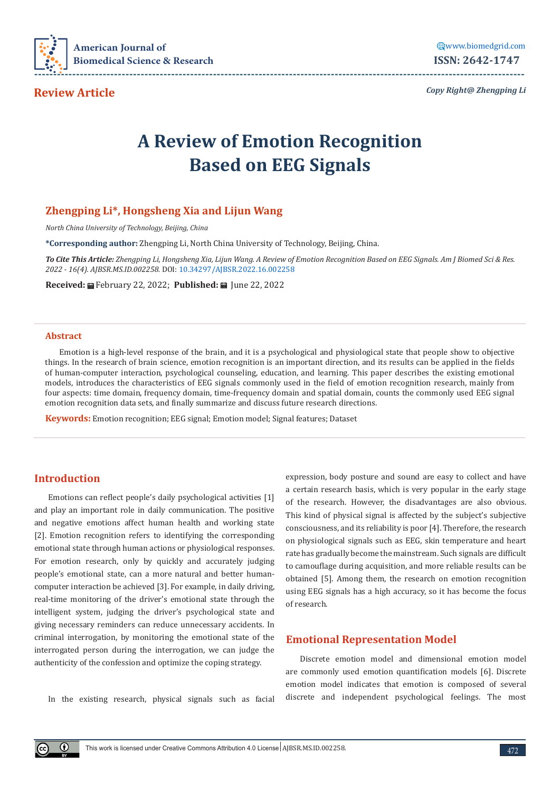

**Review Article**

*Copy Right@ Zhengping Li*

# **A Review of Emotion Recognition Based on EEG Signals**

## **Zhengping Li\*, Hongsheng Xia and Lijun Wang**

*North China University of Technology, Beijing, China*

**\*Corresponding author:** Zhengping Li, North China University of Technology, Beijing, China.

*To Cite This Article: Zhengping Li, Hongsheng Xia, Lijun Wang. A Review of Emotion Recognition Based on EEG Signals. Am J Biomed Sci & Res. 2022 - 16(4). AJBSR.MS.ID.002258.* DOI: [10.34297/AJBSR.2022.16.002258](http://dx.doi.org/10.34297/AJBSR.2022.16.002258)

Received: *a* February 22, 2022; Published: a June 22, 2022

#### **Abstract**

Emotion is a high-level response of the brain, and it is a psychological and physiological state that people show to objective things. In the research of brain science, emotion recognition is an important direction, and its results can be applied in the fields of human-computer interaction, psychological counseling, education, and learning. This paper describes the existing emotional models, introduces the characteristics of EEG signals commonly used in the field of emotion recognition research, mainly from four aspects: time domain, frequency domain, time-frequency domain and spatial domain, counts the commonly used EEG signal emotion recognition data sets, and finally summarize and discuss future research directions.

**Keywords:** Emotion recognition; EEG signal; Emotion model; Signal features; Dataset

## **Introduction**

Emotions can reflect people's daily psychological activities [1] and play an important role in daily communication. The positive and negative emotions affect human health and working state [2]. Emotion recognition refers to identifying the corresponding emotional state through human actions or physiological responses. For emotion research, only by quickly and accurately judging people's emotional state, can a more natural and better humancomputer interaction be achieved [3]. For example, in daily driving, real-time monitoring of the driver's emotional state through the intelligent system, judging the driver's psychological state and giving necessary reminders can reduce unnecessary accidents. In criminal interrogation, by monitoring the emotional state of the interrogated person during the interrogation, we can judge the authenticity of the confession and optimize the coping strategy.

In the existing research, physical signals such as facial

expression, body posture and sound are easy to collect and have a certain research basis, which is very popular in the early stage of the research. However, the disadvantages are also obvious. This kind of physical signal is affected by the subject's subjective consciousness, and its reliability is poor [4]. Therefore, the research on physiological signals such as EEG, skin temperature and heart rate has gradually become the mainstream. Such signals are difficult to camouflage during acquisition, and more reliable results can be obtained [5]. Among them, the research on emotion recognition using EEG signals has a high accuracy, so it has become the focus of research.

#### **Emotional Representation Model**

Discrete emotion model and dimensional emotion model are commonly used emotion quantification models [6]. Discrete emotion model indicates that emotion is composed of several discrete and independent psychological feelings. The most

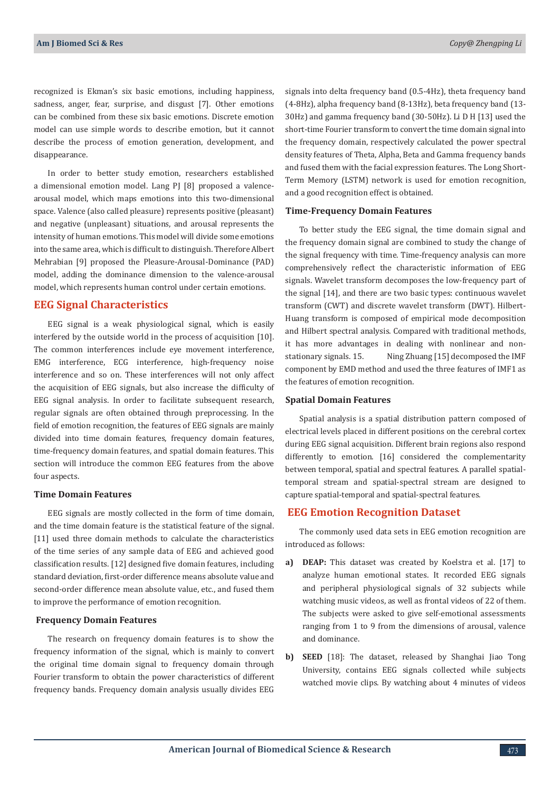recognized is Ekman's six basic emotions, including happiness, sadness, anger, fear, surprise, and disgust [7]. Other emotions can be combined from these six basic emotions. Discrete emotion model can use simple words to describe emotion, but it cannot describe the process of emotion generation, development, and disappearance.

In order to better study emotion, researchers established a dimensional emotion model. Lang PJ [8] proposed a valencearousal model, which maps emotions into this two-dimensional space. Valence (also called pleasure) represents positive (pleasant) and negative (unpleasant) situations, and arousal represents the intensity of human emotions. This model will divide some emotions into the same area, which is difficult to distinguish. Therefore Albert Mehrabian [9] proposed the Pleasure-Arousal-Dominance (PAD) model, adding the dominance dimension to the valence-arousal model, which represents human control under certain emotions.

## **EEG Signal Characteristics**

EEG signal is a weak physiological signal, which is easily interfered by the outside world in the process of acquisition [10]. The common interferences include eye movement interference, EMG interference, ECG interference, high-frequency noise interference and so on. These interferences will not only affect the acquisition of EEG signals, but also increase the difficulty of EEG signal analysis. In order to facilitate subsequent research, regular signals are often obtained through preprocessing. In the field of emotion recognition, the features of EEG signals are mainly divided into time domain features, frequency domain features, time-frequency domain features, and spatial domain features. This section will introduce the common EEG features from the above four aspects.

#### **Time Domain Features**

EEG signals are mostly collected in the form of time domain, and the time domain feature is the statistical feature of the signal. [11] used three domain methods to calculate the characteristics of the time series of any sample data of EEG and achieved good classification results. [12] designed five domain features, including standard deviation, first-order difference means absolute value and second-order difference mean absolute value, etc., and fused them to improve the performance of emotion recognition.

#### **Frequency Domain Features**

The research on frequency domain features is to show the frequency information of the signal, which is mainly to convert the original time domain signal to frequency domain through Fourier transform to obtain the power characteristics of different frequency bands. Frequency domain analysis usually divides EEG

signals into delta frequency band (0.5-4Hz), theta frequency band (4-8Hz), alpha frequency band (8-13Hz), beta frequency band (13- 30Hz) and gamma frequency band (30-50Hz). Li D H [13] used the short-time Fourier transform to convert the time domain signal into the frequency domain, respectively calculated the power spectral density features of Theta, Alpha, Beta and Gamma frequency bands and fused them with the facial expression features. The Long Short-Term Memory (LSTM) network is used for emotion recognition, and a good recognition effect is obtained.

#### **Time-Frequency Domain Features**

To better study the EEG signal, the time domain signal and the frequency domain signal are combined to study the change of the signal frequency with time. Time-frequency analysis can more comprehensively reflect the characteristic information of EEG signals. Wavelet transform decomposes the low-frequency part of the signal [14], and there are two basic types: continuous wavelet transform (CWT) and discrete wavelet transform (DWT). Hilbert-Huang transform is composed of empirical mode decomposition and Hilbert spectral analysis. Compared with traditional methods, it has more advantages in dealing with nonlinear and nonstationary signals. 15. Ning Zhuang [15] decomposed the IMF component by EMD method and used the three features of IMF1 as the features of emotion recognition.

#### **Spatial Domain Features**

Spatial analysis is a spatial distribution pattern composed of electrical levels placed in different positions on the cerebral cortex during EEG signal acquisition. Different brain regions also respond differently to emotion. [16] considered the complementarity between temporal, spatial and spectral features. A parallel spatialtemporal stream and spatial-spectral stream are designed to capture spatial-temporal and spatial-spectral features.

## **EEG Emotion Recognition Dataset**

The commonly used data sets in EEG emotion recognition are introduced as follows:

- **a) DEAP:** This dataset was created by Koelstra et al. [17] to analyze human emotional states. It recorded EEG signals and peripheral physiological signals of 32 subjects while watching music videos, as well as frontal videos of 22 of them. The subjects were asked to give self-emotional assessments ranging from 1 to 9 from the dimensions of arousal, valence and dominance.
- **b) SEED** [18]: The dataset, released by Shanghai Jiao Tong University, contains EEG signals collected while subjects watched movie clips. By watching about 4 minutes of videos